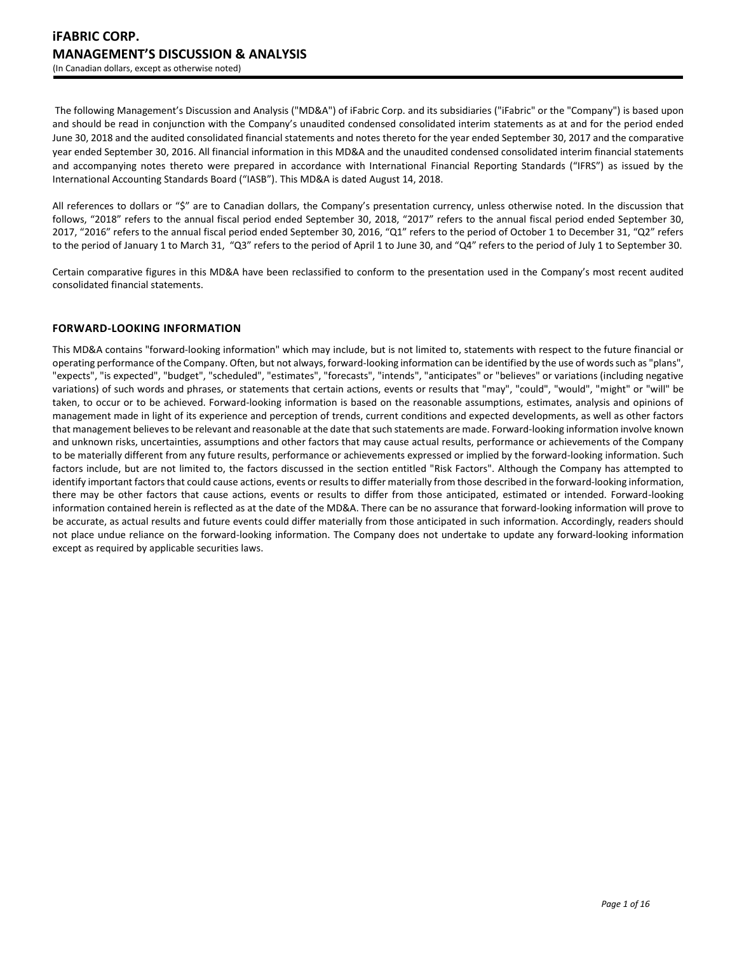The following Management's Discussion and Analysis ("MD&A") of iFabric Corp. and its subsidiaries ("iFabric" or the "Company") is based upon and should be read in conjunction with the Company's unaudited condensed consolidated interim statements as at and for the period ended June 30, 2018 and the audited consolidated financial statements and notes thereto for the year ended September 30, 2017 and the comparative year ended September 30, 2016. All financial information in this MD&A and the unaudited condensed consolidated interim financial statements and accompanying notes thereto were prepared in accordance with International Financial Reporting Standards ("IFRS") as issued by the International Accounting Standards Board ("IASB"). This MD&A is dated August 14, 2018.

All references to dollars or "\$" are to Canadian dollars, the Company's presentation currency, unless otherwise noted. In the discussion that follows, "2018" refers to the annual fiscal period ended September 30, 2018, "2017" refers to the annual fiscal period ended September 30, 2017, "2016" refers to the annual fiscal period ended September 30, 2016, "Q1" refers to the period of October 1 to December 31, "Q2" refers to the period of January 1 to March 31, "Q3" refers to the period of April 1 to June 30, and "Q4" refers to the period of July 1 to September 30.

Certain comparative figures in this MD&A have been reclassified to conform to the presentation used in the Company's most recent audited consolidated financial statements.

### **FORWARD-LOOKING INFORMATION**

This MD&A contains "forward-looking information" which may include, but is not limited to, statements with respect to the future financial or operating performance of the Company. Often, but not always, forward-looking information can be identified by the use of words such as "plans", "expects", "is expected", "budget", "scheduled", "estimates", "forecasts", "intends", "anticipates" or "believes" or variations (including negative variations) of such words and phrases, or statements that certain actions, events or results that "may", "could", "would", "might" or "will" be taken, to occur or to be achieved. Forward-looking information is based on the reasonable assumptions, estimates, analysis and opinions of management made in light of its experience and perception of trends, current conditions and expected developments, as well as other factors that management believes to be relevant and reasonable at the date that such statements are made. Forward-looking information involve known and unknown risks, uncertainties, assumptions and other factors that may cause actual results, performance or achievements of the Company to be materially different from any future results, performance or achievements expressed or implied by the forward-looking information. Such factors include, but are not limited to, the factors discussed in the section entitled "Risk Factors". Although the Company has attempted to identify important factors that could cause actions, events or results to differ materially from those described in the forward-looking information, there may be other factors that cause actions, events or results to differ from those anticipated, estimated or intended. Forward-looking information contained herein is reflected as at the date of the MD&A. There can be no assurance that forward-looking information will prove to be accurate, as actual results and future events could differ materially from those anticipated in such information. Accordingly, readers should not place undue reliance on the forward-looking information. The Company does not undertake to update any forward-looking information except as required by applicable securities laws.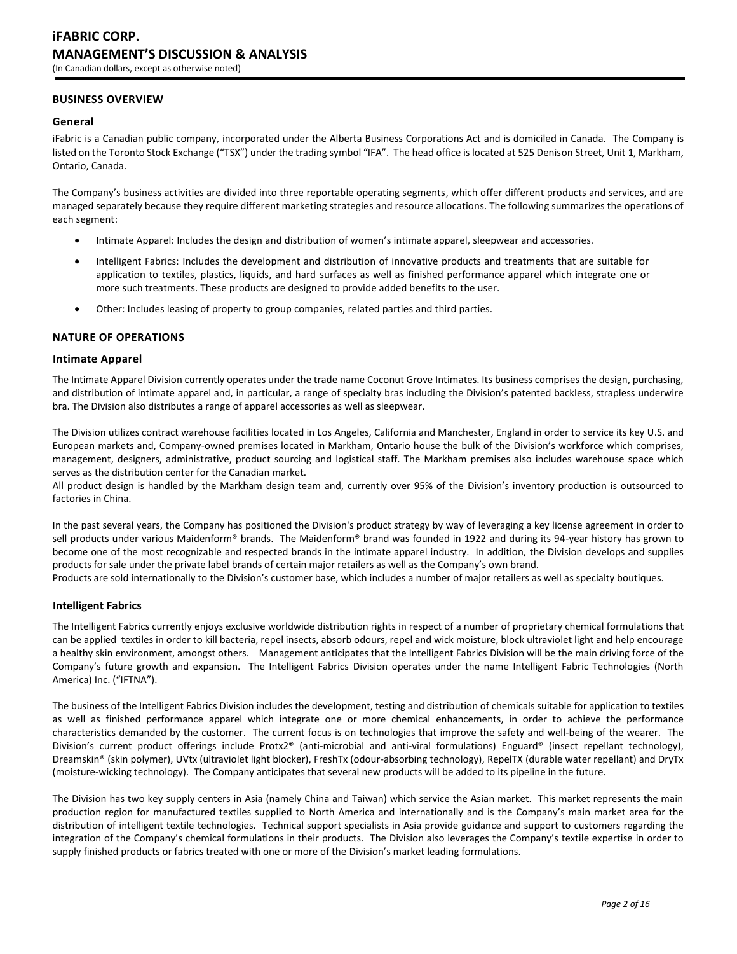### **BUSINESS OVERVIEW**

### **General**

iFabric is a Canadian public company, incorporated under the Alberta Business Corporations Act and is domiciled in Canada. The Company is listed on the Toronto Stock Exchange ("TSX") under the trading symbol "IFA". The head office is located at 525 Denison Street, Unit 1, Markham, Ontario, Canada.

The Company's business activities are divided into three reportable operating segments, which offer different products and services, and are managed separately because they require different marketing strategies and resource allocations. The following summarizes the operations of each segment:

- Intimate Apparel: Includes the design and distribution of women's intimate apparel, sleepwear and accessories.
- Intelligent Fabrics: Includes the development and distribution of innovative products and treatments that are suitable for application to textiles, plastics, liquids, and hard surfaces as well as finished performance apparel which integrate one or more such treatments. These products are designed to provide added benefits to the user.
- Other: Includes leasing of property to group companies, related parties and third parties.

### **NATURE OF OPERATIONS**

#### **Intimate Apparel**

The Intimate Apparel Division currently operates under the trade name Coconut Grove Intimates. Its business comprises the design, purchasing, and distribution of intimate apparel and, in particular, a range of specialty bras including the Division's patented backless, strapless underwire bra. The Division also distributes a range of apparel accessories as well as sleepwear.

The Division utilizes contract warehouse facilities located in Los Angeles, California and Manchester, England in order to service its key U.S. and European markets and, Company-owned premises located in Markham, Ontario house the bulk of the Division's workforce which comprises, management, designers, administrative, product sourcing and logistical staff. The Markham premises also includes warehouse space which serves as the distribution center for the Canadian market.

All product design is handled by the Markham design team and, currently over 95% of the Division's inventory production is outsourced to factories in China.

In the past several years, the Company has positioned the Division's product strategy by way of leveraging a key license agreement in order to sell products under various Maidenform® brands. The Maidenform® brand was founded in 1922 and during its 94-year history has grown to become one of the most recognizable and respected brands in the intimate apparel industry. In addition, the Division develops and supplies products for sale under the private label brands of certain major retailers as well as the Company's own brand.

Products are sold internationally to the Division's customer base, which includes a number of major retailers as well as specialty boutiques.

### **Intelligent Fabrics**

The Intelligent Fabrics currently enjoys exclusive worldwide distribution rights in respect of a number of proprietary chemical formulations that can be applied textiles in order to kill bacteria, repel insects, absorb odours, repel and wick moisture, block ultraviolet light and help encourage a healthy skin environment, amongst others. Management anticipates that the Intelligent Fabrics Division will be the main driving force of the Company's future growth and expansion. The Intelligent Fabrics Division operates under the name Intelligent Fabric Technologies (North America) Inc. ("IFTNA").

The business of the Intelligent Fabrics Division includes the development, testing and distribution of chemicals suitable for application to textiles as well as finished performance apparel which integrate one or more chemical enhancements, in order to achieve the performance characteristics demanded by the customer. The current focus is on technologies that improve the safety and well-being of the wearer. The Division's current product offerings include Protx2® (anti-microbial and anti-viral formulations) Enguard® (insect repellant technology), Dreamskin® (skin polymer), UVtx (ultraviolet light blocker), FreshTx (odour-absorbing technology), RepelTX (durable water repellant) and DryTx (moisture-wicking technology). The Company anticipates that several new products will be added to its pipeline in the future.

The Division has two key supply centers in Asia (namely China and Taiwan) which service the Asian market. This market represents the main production region for manufactured textiles supplied to North America and internationally and is the Company's main market area for the distribution of intelligent textile technologies. Technical support specialists in Asia provide guidance and support to customers regarding the integration of the Company's chemical formulations in their products. The Division also leverages the Company's textile expertise in order to supply finished products or fabrics treated with one or more of the Division's market leading formulations.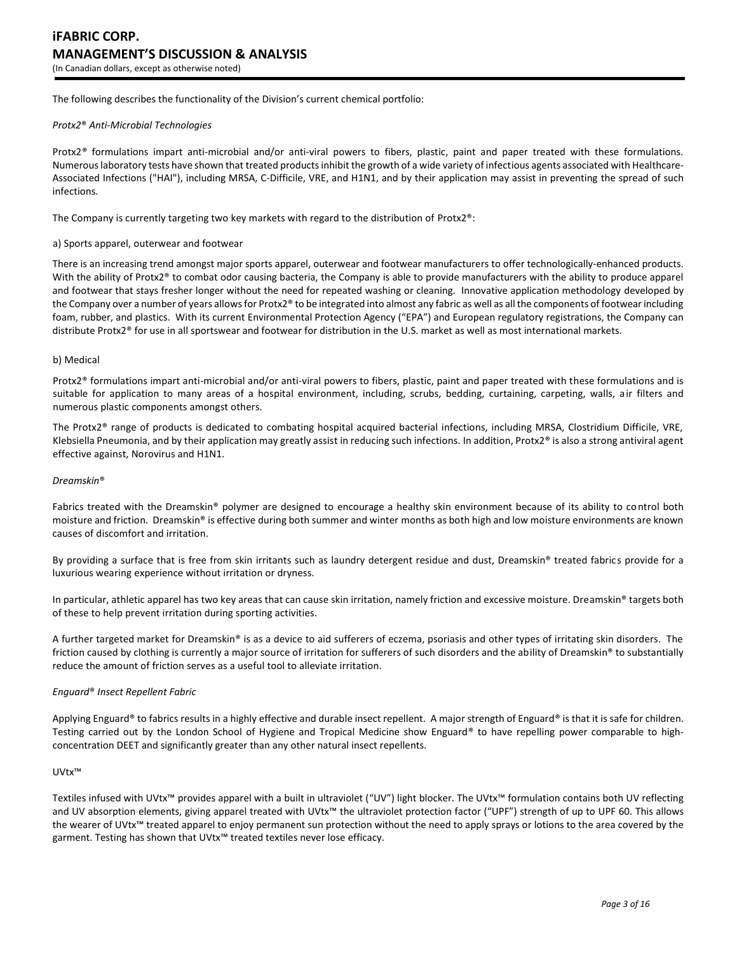The following describes the functionality of the Division's current chemical portfolio:

#### *Protx2*® *Anti-Microbial Technologies*

Protx2*®* formulations impart anti-microbial and/or anti-viral powers to fibers, plastic, paint and paper treated with these formulations. Numerous laboratory tests have shown that treated products inhibit the growth of a wide variety of infectious agents associated with Healthcare-Associated Infections ("HAI"), including MRSA, C-Difficile, VRE, and H1N1, and by their application may assist in preventing the spread of such infections.

The Company is currently targeting two key markets with regard to the distribution of Protx2®:

#### a) Sports apparel, outerwear and footwear

There is an increasing trend amongst major sports apparel, outerwear and footwear manufacturers to offer technologically-enhanced products. With the ability of Protx2® to combat odor causing bacteria, the Company is able to provide manufacturers with the ability to produce apparel and footwear that stays fresher longer without the need for repeated washing or cleaning. Innovative application methodology developed by the Company over a number of years allows for Protx2® to be integrated into almost any fabric as well as all the components of footwear including foam, rubber, and plastics. With its current Environmental Protection Agency ("EPA") and European regulatory registrations, the Company can distribute Protx2® for use in all sportswear and footwear for distribution in the U.S. market as well as most international markets.

#### b) Medical

Protx2® formulations impart anti-microbial and/or anti-viral powers to fibers, plastic, paint and paper treated with these formulations and is suitable for application to many areas of a hospital environment, including, scrubs, bedding, curtaining, carpeting, walls, air filters and numerous plastic components amongst others.

The Protx2® range of products is dedicated to combating hospital acquired bacterial infections, including MRSA, Clostridium Difficile, VRE, Klebsiella Pneumonia, and by their application may greatly assist in reducing such infections. In addition, Protx2® is also a strong antiviral agent effective against, Norovirus and H1N1.

#### *Dreamskin*®

Fabrics treated with the Dreamskin® polymer are designed to encourage a healthy skin environment because of its ability to control both moisture and friction. Dreamskin® is effective during both summer and winter months as both high and low moisture environments are known causes of discomfort and irritation.

By providing a surface that is free from skin irritants such as laundry detergent residue and dust, Dreamskin® treated fabrics provide for a luxurious wearing experience without irritation or dryness.

In particular, athletic apparel has two key areas that can cause skin irritation, namely friction and excessive moisture. Dreamskin® targets both of these to help prevent irritation during sporting activities.

A further targeted market for Dreamskin® is as a device to aid sufferers of eczema, psoriasis and other types of irritating skin disorders. The friction caused by clothing is currently a major source of irritation for sufferers of such disorders and the ability of Dreamskin® to substantially reduce the amount of friction serves as a useful tool to alleviate irritation.

### *Enguard*® *Insect Repellent Fabric*

Applying Enguard® to fabrics results in a highly effective and durable insect repellent. A major strength of Enguard® is that it is safe for children. Testing carried out by the London School of Hygiene and Tropical Medicine show Enguard® to have repelling power comparable to highconcentration DEET and significantly greater than any other natural insect repellents.

#### UVtx™

Textiles infused with UVtx™ provides apparel with a built in ultraviolet ("UV") light blocker. The UVtx™ formulation contains both UV reflecting and UV absorption elements, giving apparel treated with UVtx™ the ultraviolet protection factor ("UPF") strength of up to UPF 60. This allows the wearer of UVtx™ treated apparel to enjoy permanent sun protection without the need to apply sprays or lotions to the area covered by the garment. Testing has shown that UVtx<sup>™</sup> treated textiles never lose efficacy.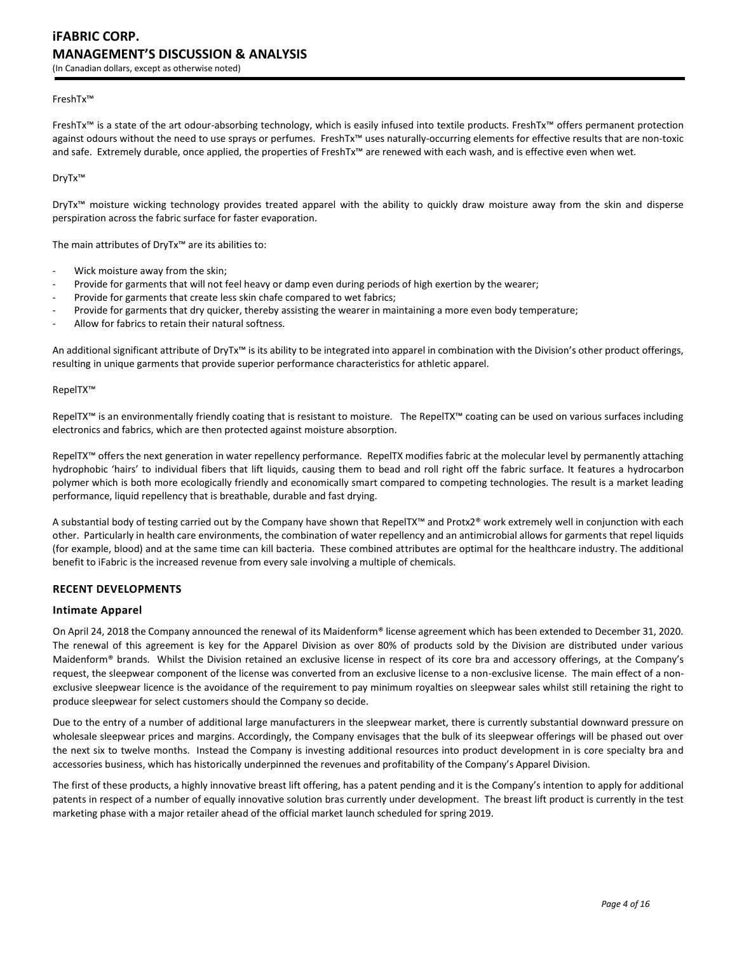### FreshTx™

FreshTx™ is a state of the art odour-absorbing technology, which is easily infused into textile products. FreshTx™ offers permanent protection against odours without the need to use sprays or perfumes. FreshTx™ uses naturally-occurring elements for effective results that are non-toxic and safe. Extremely durable, once applied, the properties of FreshTx™ are renewed with each wash, and is effective even when wet.

DryTx™

DryTx™ moisture wicking technology provides treated apparel with the ability to quickly draw moisture away from the skin and disperse perspiration across the fabric surface for faster evaporation.

The main attributes of DryTx™ are its abilities to:

- Wick moisture away from the skin;
- Provide for garments that will not feel heavy or damp even during periods of high exertion by the wearer;
- Provide for garments that create less skin chafe compared to wet fabrics;
- Provide for garments that dry quicker, thereby assisting the wearer in maintaining a more even body temperature;
- Allow for fabrics to retain their natural softness.

An additional significant attribute of DryTx<sup>™</sup> is its ability to be integrated into apparel in combination with the Division's other product offerings, resulting in unique garments that provide superior performance characteristics for athletic apparel.

### RepelTX™

RepelTX™ is an environmentally friendly coating that is resistant to moisture. The RepelTX™ coating can be used on various surfaces including electronics and fabrics, which are then protected against moisture absorption.

RepelTX™ offers the next generation in water repellency performance. RepelTX modifies fabric at the molecular level by permanently attaching hydrophobic 'hairs' to individual fibers that lift liquids, causing them to bead and roll right off the fabric surface. It features a hydrocarbon polymer which is both more ecologically friendly and economically smart compared to competing technologies. The result is a market leading performance, liquid repellency that is breathable, durable and fast drying.

A substantial body of testing carried out by the Company have shown that RepelTX™ and Protx2® work extremely well in conjunction with each other. Particularly in health care environments, the combination of water repellency and an antimicrobial allows for garments that repel liquids (for example, blood) and at the same time can kill bacteria. These combined attributes are optimal for the healthcare industry. The additional benefit to iFabric is the increased revenue from every sale involving a multiple of chemicals.

### **RECENT DEVELOPMENTS**

### **Intimate Apparel**

On April 24, 2018 the Company announced the renewal of its Maidenform® license agreement which has been extended to December 31, 2020. The renewal of this agreement is key for the Apparel Division as over 80% of products sold by the Division are distributed under various Maidenform® brands. Whilst the Division retained an exclusive license in respect of its core bra and accessory offerings, at the Company's request, the sleepwear component of the license was converted from an exclusive license to a non-exclusive license. The main effect of a nonexclusive sleepwear licence is the avoidance of the requirement to pay minimum royalties on sleepwear sales whilst still retaining the right to produce sleepwear for select customers should the Company so decide.

Due to the entry of a number of additional large manufacturers in the sleepwear market, there is currently substantial downward pressure on wholesale sleepwear prices and margins. Accordingly, the Company envisages that the bulk of its sleepwear offerings will be phased out over the next six to twelve months. Instead the Company is investing additional resources into product development in is core specialty bra and accessories business, which has historically underpinned the revenues and profitability of the Company's Apparel Division.

The first of these products, a highly innovative breast lift offering, has a patent pending and it is the Company's intention to apply for additional patents in respect of a number of equally innovative solution bras currently under development. The breast lift product is currently in the test marketing phase with a major retailer ahead of the official market launch scheduled for spring 2019.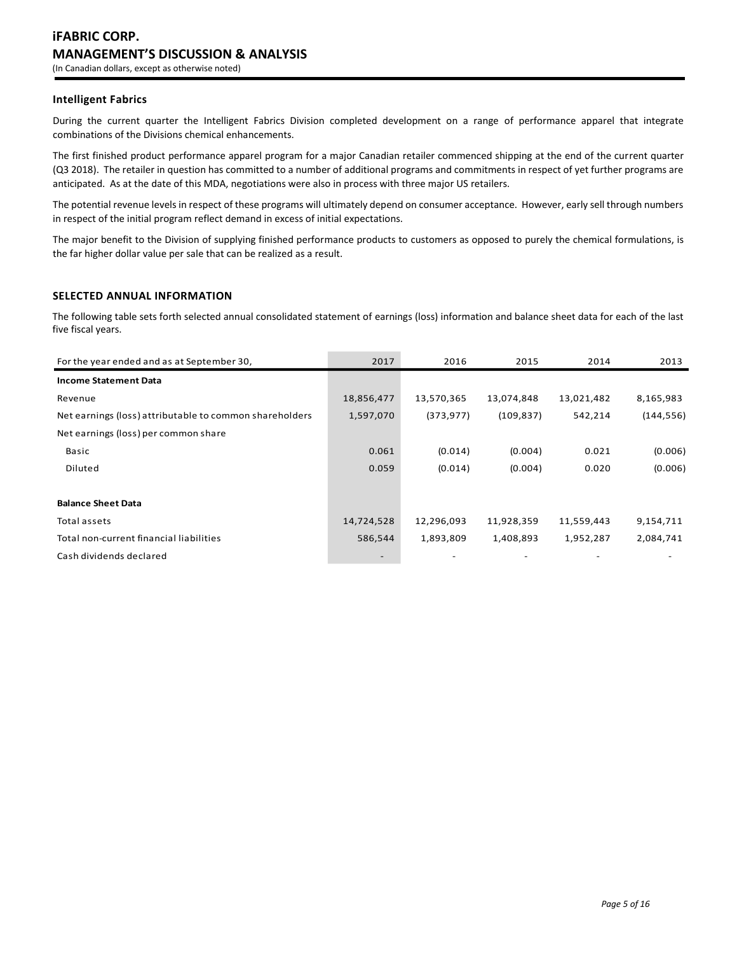### **Intelligent Fabrics**

During the current quarter the Intelligent Fabrics Division completed development on a range of performance apparel that integrate combinations of the Divisions chemical enhancements.

The first finished product performance apparel program for a major Canadian retailer commenced shipping at the end of the current quarter (Q3 2018). The retailer in question has committed to a number of additional programs and commitments in respect of yet further programs are anticipated. As at the date of this MDA, negotiations were also in process with three major US retailers.

The potential revenue levels in respect of these programs will ultimately depend on consumer acceptance. However, early sell through numbers in respect of the initial program reflect demand in excess of initial expectations.

The major benefit to the Division of supplying finished performance products to customers as opposed to purely the chemical formulations, is the far higher dollar value per sale that can be realized as a result.

### **SELECTED ANNUAL INFORMATION**

The following table sets forth selected annual consolidated statement of earnings (loss) information and balance sheet data for each of the last five fiscal years.

| For the year ended and as at September 30,              | 2017                     | 2016       | 2015       | 2014       | 2013       |
|---------------------------------------------------------|--------------------------|------------|------------|------------|------------|
| <b>Income Statement Data</b>                            |                          |            |            |            |            |
| Revenue                                                 | 18,856,477               | 13,570,365 | 13,074,848 | 13,021,482 | 8,165,983  |
| Net earnings (loss) attributable to common shareholders | 1,597,070                | (373, 977) | (109, 837) | 542,214    | (144, 556) |
| Net earnings (loss) per common share                    |                          |            |            |            |            |
| Basic                                                   | 0.061                    | (0.014)    | (0.004)    | 0.021      | (0.006)    |
| Diluted                                                 | 0.059                    | (0.014)    | (0.004)    | 0.020      | (0.006)    |
|                                                         |                          |            |            |            |            |
| <b>Balance Sheet Data</b>                               |                          |            |            |            |            |
| Total assets                                            | 14,724,528               | 12,296,093 | 11,928,359 | 11,559,443 | 9,154,711  |
| Total non-current financial liabilities                 | 586,544                  | 1,893,809  | 1,408,893  | 1,952,287  | 2,084,741  |
| Cash dividends declared                                 | $\overline{\phantom{a}}$ |            |            |            |            |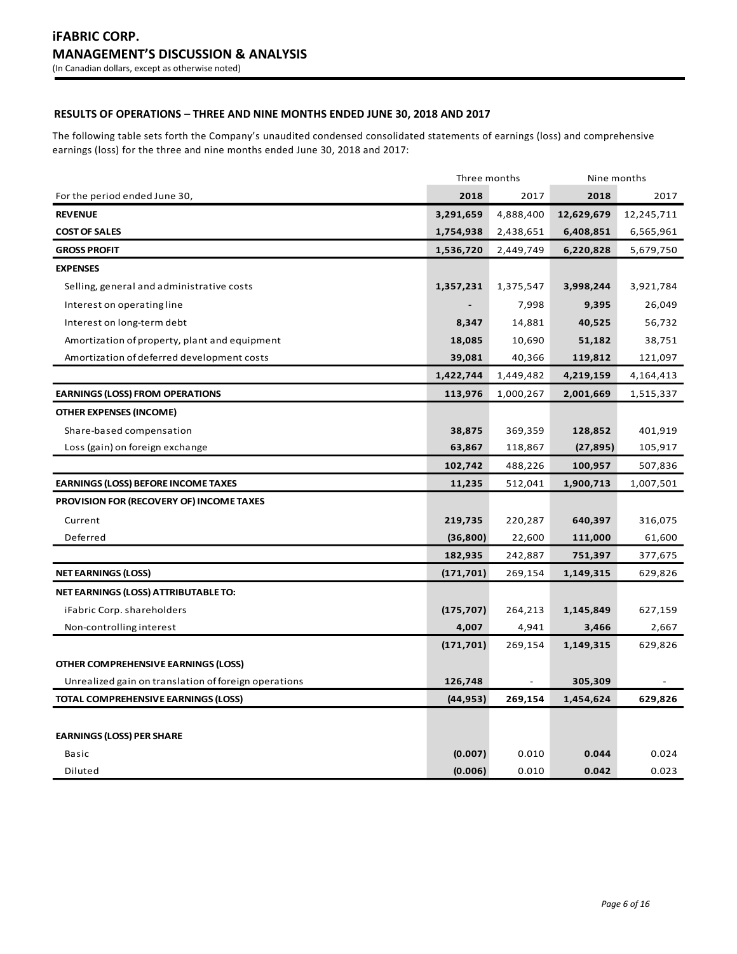## **RESULTS OF OPERATIONS – THREE AND NINE MONTHS ENDED JUNE 30, 2018 AND 2017**

The following table sets forth the Company's unaudited condensed consolidated statements of earnings (loss) and comprehensive earnings (loss) for the three and nine months ended June 30, 2018 and 2017:

|                                                      |            | Three months |            | Nine months |  |
|------------------------------------------------------|------------|--------------|------------|-------------|--|
| For the period ended June 30,                        | 2018       | 2017         | 2018       | 2017        |  |
| <b>REVENUE</b>                                       | 3,291,659  | 4,888,400    | 12,629,679 | 12,245,711  |  |
| <b>COST OF SALES</b>                                 | 1,754,938  | 2,438,651    | 6,408,851  | 6,565,961   |  |
| <b>GROSS PROFIT</b>                                  | 1,536,720  | 2,449,749    | 6,220,828  | 5,679,750   |  |
| <b>EXPENSES</b>                                      |            |              |            |             |  |
| Selling, general and administrative costs            | 1,357,231  | 1,375,547    | 3,998,244  | 3,921,784   |  |
| Interest on operating line                           |            | 7,998        | 9,395      | 26,049      |  |
| Interest on long-term debt                           | 8,347      | 14,881       | 40,525     | 56,732      |  |
| Amortization of property, plant and equipment        | 18,085     | 10,690       | 51,182     | 38,751      |  |
| Amortization of deferred development costs           | 39,081     | 40,366       | 119,812    | 121,097     |  |
|                                                      | 1,422,744  | 1,449,482    | 4,219,159  | 4,164,413   |  |
| <b>EARNINGS (LOSS) FROM OPERATIONS</b>               | 113,976    | 1,000,267    | 2,001,669  | 1,515,337   |  |
| <b>OTHER EXPENSES (INCOME)</b>                       |            |              |            |             |  |
| Share-based compensation                             | 38,875     | 369,359      | 128,852    | 401,919     |  |
| Loss (gain) on foreign exchange                      | 63,867     | 118,867      | (27, 895)  | 105,917     |  |
|                                                      | 102,742    | 488,226      | 100,957    | 507,836     |  |
| <b>EARNINGS (LOSS) BEFORE INCOME TAXES</b>           | 11,235     | 512,041      | 1,900,713  | 1,007,501   |  |
| PROVISION FOR (RECOVERY OF) INCOME TAXES             |            |              |            |             |  |
| Current                                              | 219,735    | 220,287      | 640,397    | 316,075     |  |
| Deferred                                             | (36, 800)  | 22,600       | 111,000    | 61,600      |  |
|                                                      | 182,935    | 242,887      | 751,397    | 377,675     |  |
| <b>NET EARNINGS (LOSS)</b>                           | (171, 701) | 269,154      | 1,149,315  | 629,826     |  |
| NET EARNINGS (LOSS) ATTRIBUTABLE TO:                 |            |              |            |             |  |
| iFabric Corp. shareholders                           | (175, 707) | 264,213      | 1,145,849  | 627,159     |  |
| Non-controlling interest                             | 4,007      | 4,941        | 3,466      | 2,667       |  |
|                                                      | (171, 701) | 269,154      | 1,149,315  | 629,826     |  |
| OTHER COMPREHENSIVE EARNINGS (LOSS)                  |            |              |            |             |  |
| Unrealized gain on translation of foreign operations | 126,748    |              | 305,309    |             |  |
| <b>TOTAL COMPREHENSIVE EARNINGS (LOSS)</b>           | (44, 953)  | 269,154      | 1,454,624  | 629,826     |  |
|                                                      |            |              |            |             |  |
| <b>EARNINGS (LOSS) PER SHARE</b>                     |            |              |            |             |  |
| Basic                                                | (0.007)    | 0.010        | 0.044      | 0.024       |  |
| Diluted                                              | (0.006)    | 0.010        | 0.042      | 0.023       |  |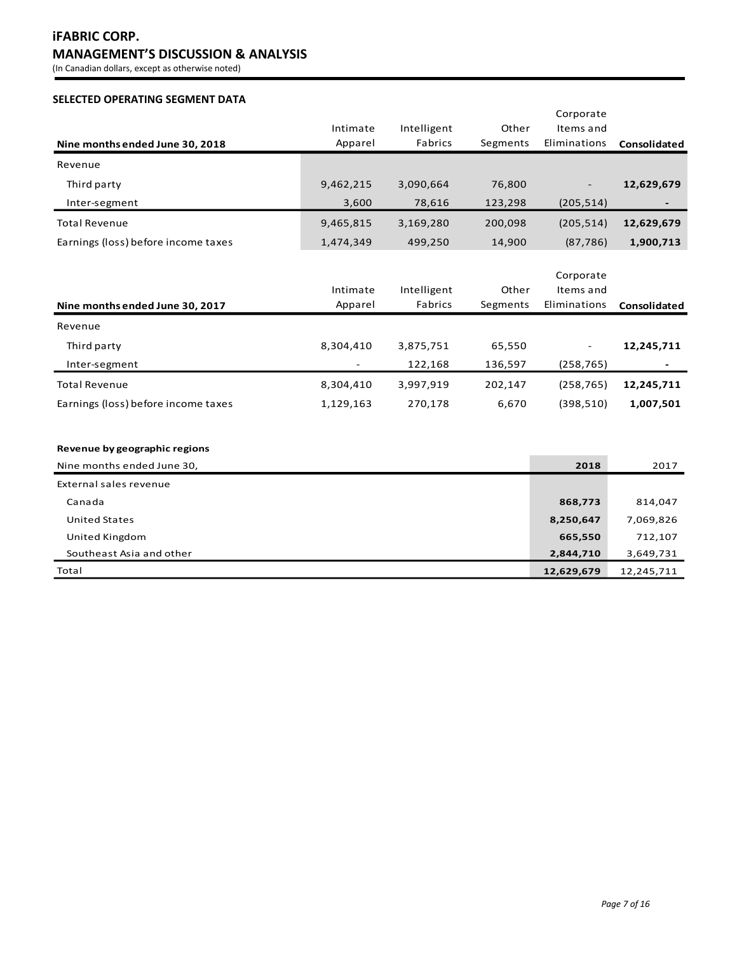# **iFABRIC CORP. MANAGEMENT'S DISCUSSION & ANALYSIS**

(In Canadian dollars, except as otherwise noted)

### **SELECTED OPERATING SEGMENT DATA**

|                                     |           |                |          | Corporate                |              |
|-------------------------------------|-----------|----------------|----------|--------------------------|--------------|
|                                     | Intimate  | Intelligent    | Other    | Items and                |              |
| Nine months ended June 30, 2018     | Apparel   | <b>Fabrics</b> | Segments | Eliminations             | Consolidated |
| Revenue                             |           |                |          |                          |              |
| Third party                         | 9,462,215 | 3,090,664      | 76,800   | $\overline{\phantom{a}}$ | 12,629,679   |
| Inter-segment                       | 3,600     | 78,616         | 123,298  | (205, 514)               |              |
| <b>Total Revenue</b>                | 9,465,815 | 3,169,280      | 200,098  | (205, 514)               | 12,629,679   |
| Earnings (loss) before income taxes | 1,474,349 | 499,250        | 14,900   | (87, 786)                | 1,900,713    |

| Nine months ended June 30, 2017     | Intimate<br>Apparel | Intelligent<br><b>Fabrics</b> | Other<br>Segments | Corporate<br>Items and<br>Eliminations | Consolidated |
|-------------------------------------|---------------------|-------------------------------|-------------------|----------------------------------------|--------------|
| Revenue                             |                     |                               |                   |                                        |              |
| Third party                         | 8,304,410           | 3,875,751                     | 65,550            | $\overline{\phantom{a}}$               | 12,245,711   |
| Inter-segment                       |                     | 122,168                       | 136,597           | (258, 765)                             | ۰            |
| <b>Total Revenue</b>                | 8,304,410           | 3,997,919                     | 202.147           | (258, 765)                             | 12,245,711   |
| Earnings (loss) before income taxes | 1,129,163           | 270,178                       | 6,670             | (398,510)                              | 1,007,501    |

### **Revenue by geographic regions**

| Nine months ended June 30, | 2018       | 2017       |
|----------------------------|------------|------------|
| External sales revenue     |            |            |
| Canada                     | 868,773    | 814,047    |
| <b>United States</b>       | 8,250,647  | 7,069,826  |
| United Kingdom             | 665,550    | 712,107    |
| Southeast Asia and other   | 2,844,710  | 3,649,731  |
| Total                      | 12,629,679 | 12,245,711 |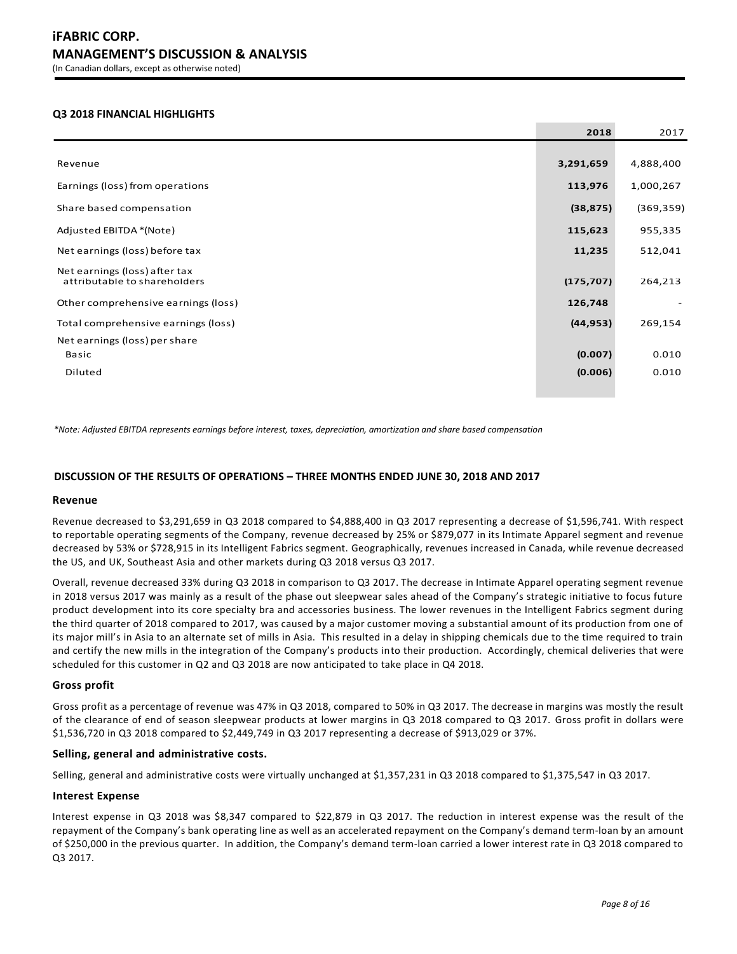### **Q3 2018 FINANCIAL HIGHLIGHTS**

|                                     | 2018       | 2017       |
|-------------------------------------|------------|------------|
|                                     |            |            |
| Revenue                             | 3,291,659  | 4,888,400  |
| Earnings (loss) from operations     | 113,976    | 1,000,267  |
| Share based compensation            | (38, 875)  | (369, 359) |
| Adjusted EBITDA *(Note)             | 115,623    | 955,335    |
| Net earnings (loss) before tax      | 11,235     | 512,041    |
| Net earnings (loss) after tax       |            |            |
| attributable to shareholders        | (175, 707) | 264,213    |
| Other comprehensive earnings (loss) | 126,748    |            |
| Total comprehensive earnings (loss) | (44, 953)  | 269,154    |
| Net earnings (loss) per share       |            |            |
| Basic                               | (0.007)    | 0.010      |
| Diluted                             | (0.006)    | 0.010      |
|                                     |            |            |

*\*Note: Adjusted EBITDA represents earnings before interest, taxes, depreciation, amortization and share based compensation*

### **DISCUSSION OF THE RESULTS OF OPERATIONS – THREE MONTHS ENDED JUNE 30, 2018 AND 2017**

### **Revenue**

Revenue decreased to \$3,291,659 in Q3 2018 compared to \$4,888,400 in Q3 2017 representing a decrease of \$1,596,741. With respect to reportable operating segments of the Company, revenue decreased by 25% or \$879,077 in its Intimate Apparel segment and revenue decreased by 53% or \$728,915 in its Intelligent Fabrics segment. Geographically, revenues increased in Canada, while revenue decreased the US, and UK, Southeast Asia and other markets during Q3 2018 versus Q3 2017.

Overall, revenue decreased 33% during Q3 2018 in comparison to Q3 2017. The decrease in Intimate Apparel operating segment revenue in 2018 versus 2017 was mainly as a result of the phase out sleepwear sales ahead of the Company's strategic initiative to focus future product development into its core specialty bra and accessories business. The lower revenues in the Intelligent Fabrics segment during the third quarter of 2018 compared to 2017, was caused by a major customer moving a substantial amount of its production from one of its major mill's in Asia to an alternate set of mills in Asia. This resulted in a delay in shipping chemicals due to the time required to train and certify the new mills in the integration of the Company's products into their production. Accordingly, chemical deliveries that were scheduled for this customer in Q2 and Q3 2018 are now anticipated to take place in Q4 2018.

### **Gross profit**

Gross profit as a percentage of revenue was 47% in Q3 2018, compared to 50% in Q3 2017. The decrease in margins was mostly the result of the clearance of end of season sleepwear products at lower margins in Q3 2018 compared to Q3 2017. Gross profit in dollars were \$1,536,720 in Q3 2018 compared to \$2,449,749 in Q3 2017 representing a decrease of \$913,029 or 37%.

### **Selling, general and administrative costs.**

Selling, general and administrative costs were virtually unchanged at \$1,357,231 in Q3 2018 compared to \$1,375,547 in Q3 2017.

### **Interest Expense**

Interest expense in Q3 2018 was \$8,347 compared to \$22,879 in Q3 2017. The reduction in interest expense was the result of the repayment of the Company's bank operating line as well as an accelerated repayment on the Company's demand term-loan by an amount of \$250,000 in the previous quarter. In addition, the Company's demand term-loan carried a lower interest rate in Q3 2018 compared to Q3 2017.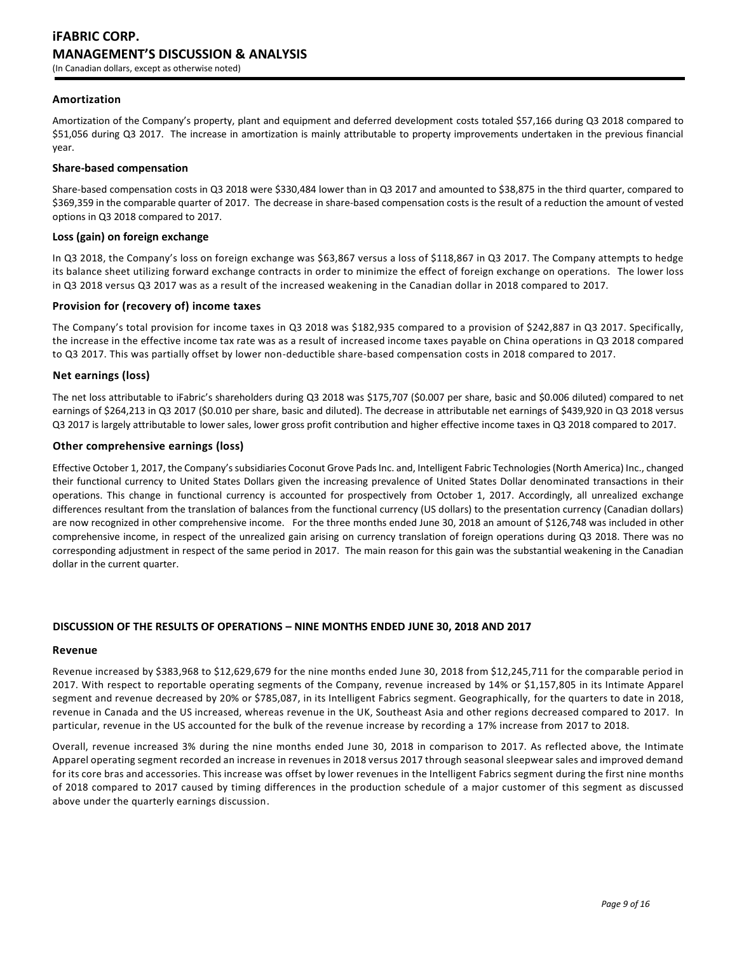### **Amortization**

Amortization of the Company's property, plant and equipment and deferred development costs totaled \$57,166 during Q3 2018 compared to \$51,056 during Q3 2017. The increase in amortization is mainly attributable to property improvements undertaken in the previous financial year.

### **Share-based compensation**

Share-based compensation costs in Q3 2018 were \$330,484 lower than in Q3 2017 and amounted to \$38,875 in the third quarter, compared to \$369,359 in the comparable quarter of 2017. The decrease in share-based compensation costs is the result of a reduction the amount of vested options in Q3 2018 compared to 2017.

### **Loss (gain) on foreign exchange**

In Q3 2018, the Company's loss on foreign exchange was \$63,867 versus a loss of \$118,867 in Q3 2017. The Company attempts to hedge its balance sheet utilizing forward exchange contracts in order to minimize the effect of foreign exchange on operations. The lower loss in Q3 2018 versus Q3 2017 was as a result of the increased weakening in the Canadian dollar in 2018 compared to 2017.

### **Provision for (recovery of) income taxes**

The Company's total provision for income taxes in Q3 2018 was \$182,935 compared to a provision of \$242,887 in Q3 2017. Specifically, the increase in the effective income tax rate was as a result of increased income taxes payable on China operations in Q3 2018 compared to Q3 2017. This was partially offset by lower non-deductible share-based compensation costs in 2018 compared to 2017.

### **Net earnings (loss)**

The net loss attributable to iFabric's shareholders during Q3 2018 was \$175,707 (\$0.007 per share, basic and \$0.006 diluted) compared to net earnings of \$264,213 in Q3 2017 (\$0.010 per share, basic and diluted). The decrease in attributable net earnings of \$439,920 in Q3 2018 versus Q3 2017 is largely attributable to lower sales, lower gross profit contribution and higher effective income taxes in Q3 2018 compared to 2017.

### **Other comprehensive earnings (loss)**

Effective October 1, 2017, the Company's subsidiaries Coconut Grove Pads Inc. and, Intelligent Fabric Technologies (North America) Inc., changed their functional currency to United States Dollars given the increasing prevalence of United States Dollar denominated transactions in their operations. This change in functional currency is accounted for prospectively from October 1, 2017. Accordingly, all unrealized exchange differences resultant from the translation of balances from the functional currency (US dollars) to the presentation currency (Canadian dollars) are now recognized in other comprehensive income. For the three months ended June 30, 2018 an amount of \$126,748 was included in other comprehensive income, in respect of the unrealized gain arising on currency translation of foreign operations during Q3 2018. There was no corresponding adjustment in respect of the same period in 2017. The main reason for this gain was the substantial weakening in the Canadian dollar in the current quarter.

### **DISCUSSION OF THE RESULTS OF OPERATIONS – NINE MONTHS ENDED JUNE 30, 2018 AND 2017**

### **Revenue**

Revenue increased by \$383,968 to \$12,629,679 for the nine months ended June 30, 2018 from \$12,245,711 for the comparable period in 2017. With respect to reportable operating segments of the Company, revenue increased by 14% or \$1,157,805 in its Intimate Apparel segment and revenue decreased by 20% or \$785,087, in its Intelligent Fabrics segment. Geographically, for the quarters to date in 2018, revenue in Canada and the US increased, whereas revenue in the UK, Southeast Asia and other regions decreased compared to 2017. In particular, revenue in the US accounted for the bulk of the revenue increase by recording a 17% increase from 2017 to 2018.

Overall, revenue increased 3% during the nine months ended June 30, 2018 in comparison to 2017. As reflected above, the Intimate Apparel operating segment recorded an increase in revenues in 2018 versus 2017 through seasonal sleepwear sales and improved demand for its core bras and accessories. This increase was offset by lower revenues in the Intelligent Fabrics segment during the first nine months of 2018 compared to 2017 caused by timing differences in the production schedule of a major customer of this segment as discussed above under the quarterly earnings discussion.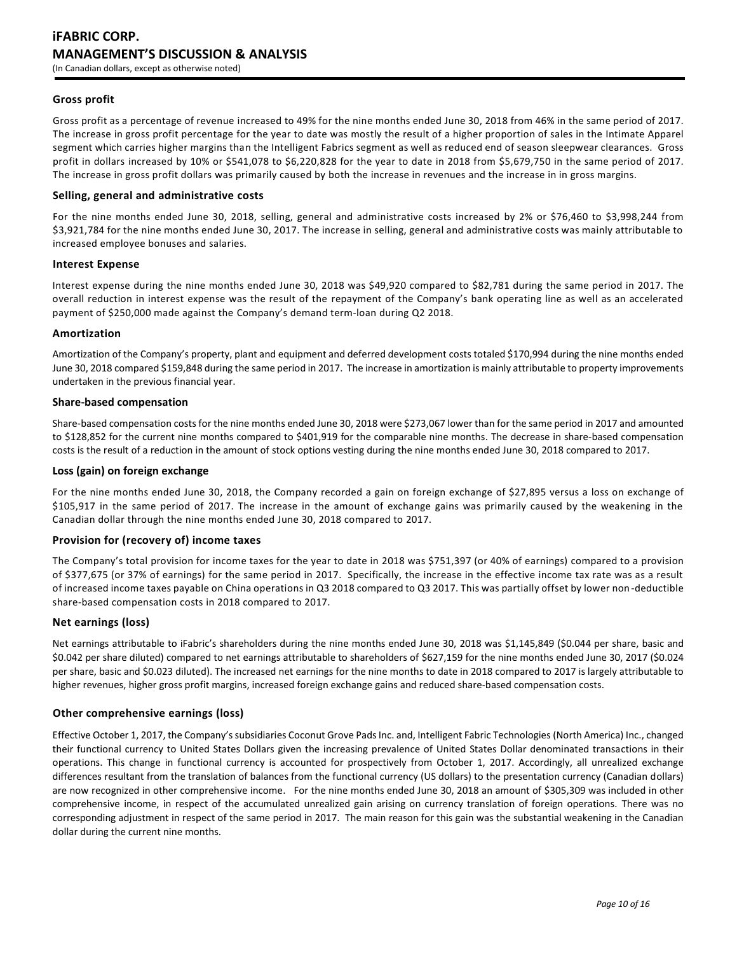### **Gross profit**

Gross profit as a percentage of revenue increased to 49% for the nine months ended June 30, 2018 from 46% in the same period of 2017. The increase in gross profit percentage for the year to date was mostly the result of a higher proportion of sales in the Intimate Apparel segment which carries higher margins than the Intelligent Fabrics segment as well as reduced end of season sleepwear clearances. Gross profit in dollars increased by 10% or \$541,078 to \$6,220,828 for the year to date in 2018 from \$5,679,750 in the same period of 2017. The increase in gross profit dollars was primarily caused by both the increase in revenues and the increase in in gross margins.

### **Selling, general and administrative costs**

For the nine months ended June 30, 2018, selling, general and administrative costs increased by 2% or \$76,460 to \$3,998,244 from \$3,921,784 for the nine months ended June 30, 2017. The increase in selling, general and administrative costs was mainly attributable to increased employee bonuses and salaries.

### **Interest Expense**

Interest expense during the nine months ended June 30, 2018 was \$49,920 compared to \$82,781 during the same period in 2017. The overall reduction in interest expense was the result of the repayment of the Company's bank operating line as well as an accelerated payment of \$250,000 made against the Company's demand term-loan during Q2 2018.

### **Amortization**

Amortization of the Company's property, plant and equipment and deferred development costs totaled \$170,994 during the nine months ended June 30, 2018 compared \$159,848 during the same period in 2017. The increase in amortization is mainly attributable to property improvements undertaken in the previous financial year.

### **Share-based compensation**

Share-based compensation costs for the nine months ended June 30, 2018 were \$273,067 lower than for the same period in 2017 and amounted to \$128,852 for the current nine months compared to \$401,919 for the comparable nine months. The decrease in share-based compensation costs is the result of a reduction in the amount of stock options vesting during the nine months ended June 30, 2018 compared to 2017.

### **Loss (gain) on foreign exchange**

For the nine months ended June 30, 2018, the Company recorded a gain on foreign exchange of \$27,895 versus a loss on exchange of \$105,917 in the same period of 2017. The increase in the amount of exchange gains was primarily caused by the weakening in the Canadian dollar through the nine months ended June 30, 2018 compared to 2017.

### **Provision for (recovery of) income taxes**

The Company's total provision for income taxes for the year to date in 2018 was \$751,397 (or 40% of earnings) compared to a provision of \$377,675 (or 37% of earnings) for the same period in 2017. Specifically, the increase in the effective income tax rate was as a result of increased income taxes payable on China operations in Q3 2018 compared to Q3 2017. This was partially offset by lower non -deductible share-based compensation costs in 2018 compared to 2017.

### **Net earnings (loss)**

Net earnings attributable to iFabric's shareholders during the nine months ended June 30, 2018 was \$1,145,849 (\$0.044 per share, basic and \$0.042 per share diluted) compared to net earnings attributable to shareholders of \$627,159 for the nine months ended June 30, 2017 (\$0.024 per share, basic and \$0.023 diluted). The increased net earnings for the nine months to date in 2018 compared to 2017 is largely attributable to higher revenues, higher gross profit margins, increased foreign exchange gains and reduced share-based compensation costs.

### **Other comprehensive earnings (loss)**

Effective October 1, 2017, the Company's subsidiaries Coconut Grove Pads Inc. and, Intelligent Fabric Technologies (North America) Inc., changed their functional currency to United States Dollars given the increasing prevalence of United States Dollar denominated transactions in their operations. This change in functional currency is accounted for prospectively from October 1, 2017. Accordingly, all unrealized exchange differences resultant from the translation of balances from the functional currency (US dollars) to the presentation currency (Canadian dollars) are now recognized in other comprehensive income. For the nine months ended June 30, 2018 an amount of \$305,309 was included in other comprehensive income, in respect of the accumulated unrealized gain arising on currency translation of foreign operations. There was no corresponding adjustment in respect of the same period in 2017. The main reason for this gain was the substantial weakening in the Canadian dollar during the current nine months.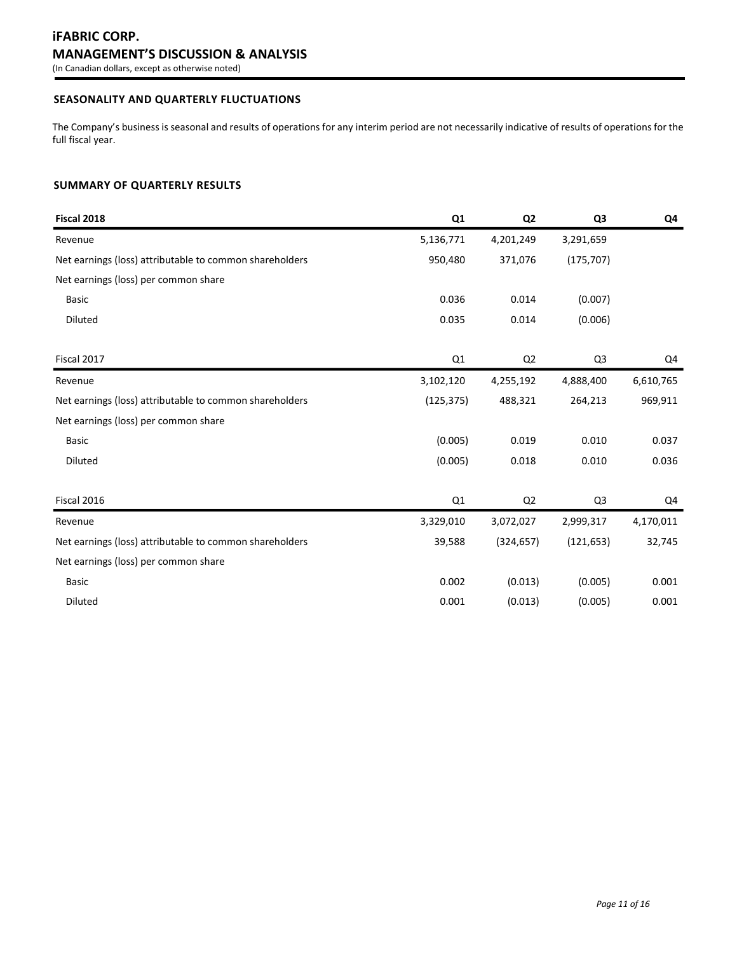### **SEASONALITY AND QUARTERLY FLUCTUATIONS**

The Company's business is seasonal and results of operations for any interim period are not necessarily indicative of results of operations for the full fiscal year.

### **SUMMARY OF QUARTERLY RESULTS**

| Fiscal 2018                                             | Q1         | Q <sub>2</sub> | Q <sub>3</sub> | Q4        |
|---------------------------------------------------------|------------|----------------|----------------|-----------|
| Revenue                                                 | 5,136,771  | 4,201,249      | 3,291,659      |           |
| Net earnings (loss) attributable to common shareholders | 950,480    | 371,076        | (175, 707)     |           |
| Net earnings (loss) per common share                    |            |                |                |           |
| <b>Basic</b>                                            | 0.036      | 0.014          | (0.007)        |           |
| Diluted                                                 | 0.035      | 0.014          | (0.006)        |           |
| Fiscal 2017                                             | Q1         | Q <sub>2</sub> | Q <sub>3</sub> | Q4        |
| Revenue                                                 | 3,102,120  | 4,255,192      | 4,888,400      | 6,610,765 |
| Net earnings (loss) attributable to common shareholders | (125, 375) | 488,321        | 264,213        | 969,911   |
| Net earnings (loss) per common share                    |            |                |                |           |
| <b>Basic</b>                                            | (0.005)    | 0.019          | 0.010          | 0.037     |
| Diluted                                                 | (0.005)    | 0.018          | 0.010          | 0.036     |
| Fiscal 2016                                             | Q1         | Q <sub>2</sub> | Q <sub>3</sub> | Q4        |
| Revenue                                                 | 3,329,010  | 3,072,027      | 2,999,317      | 4,170,011 |
| Net earnings (loss) attributable to common shareholders | 39,588     | (324, 657)     | (121, 653)     | 32,745    |
| Net earnings (loss) per common share                    |            |                |                |           |
| <b>Basic</b>                                            | 0.002      | (0.013)        | (0.005)        | 0.001     |
| Diluted                                                 | 0.001      | (0.013)        | (0.005)        | 0.001     |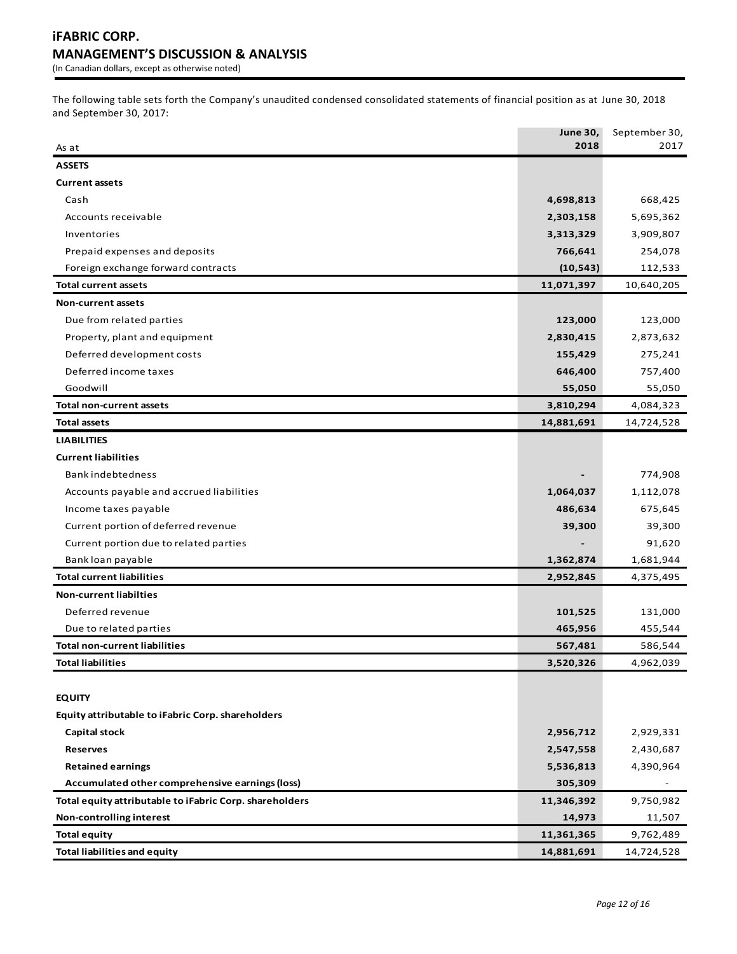The following table sets forth the Company's unaudited condensed consolidated statements of financial position as at June 30, 2018 and September 30, 2017:

|                                                         | <b>June 30,</b> | September 30, |
|---------------------------------------------------------|-----------------|---------------|
| As at                                                   | 2018            | 2017          |
| <b>ASSETS</b>                                           |                 |               |
| <b>Current assets</b>                                   |                 |               |
| Cash                                                    | 4,698,813       | 668,425       |
| Accounts receivable                                     | 2,303,158       | 5,695,362     |
| Inventories                                             | 3,313,329       | 3,909,807     |
| Prepaid expenses and deposits                           | 766,641         | 254,078       |
| Foreign exchange forward contracts                      | (10, 543)       | 112,533       |
| <b>Total current assets</b>                             | 11,071,397      | 10,640,205    |
| <b>Non-current assets</b>                               |                 |               |
| Due from related parties                                | 123,000         | 123,000       |
| Property, plant and equipment                           | 2,830,415       | 2,873,632     |
| Deferred development costs                              | 155,429         | 275,241       |
| Deferred income taxes                                   | 646,400         | 757,400       |
| Goodwill                                                | 55,050          | 55,050        |
| <b>Total non-current assets</b>                         | 3,810,294       | 4,084,323     |
| <b>Total assets</b>                                     | 14,881,691      | 14,724,528    |
| <b>LIABILITIES</b>                                      |                 |               |
| <b>Current liabilities</b>                              |                 |               |
| <b>Bankindebtedness</b>                                 |                 | 774,908       |
| Accounts payable and accrued liabilities                | 1,064,037       | 1,112,078     |
| Income taxes payable                                    | 486,634         | 675,645       |
| Current portion of deferred revenue                     | 39,300          | 39,300        |
| Current portion due to related parties                  |                 | 91,620        |
| Bank loan payable                                       | 1,362,874       | 1,681,944     |
| <b>Total current liabilities</b>                        | 2,952,845       | 4,375,495     |
| <b>Non-current liabilties</b>                           |                 |               |
| Deferred revenue                                        | 101,525         | 131,000       |
| Due to related parties                                  | 465,956         | 455,544       |
| <b>Total non-current liabilities</b>                    | 567,481         | 586,544       |
| <b>Total liabilities</b>                                | 3,520,326       | 4,962,039     |
|                                                         |                 |               |
| <b>EQUITY</b>                                           |                 |               |
| Equity attributable to iFabric Corp. shareholders       |                 |               |
| <b>Capital stock</b>                                    | 2,956,712       | 2,929,331     |
| <b>Reserves</b>                                         | 2,547,558       | 2,430,687     |
| <b>Retained earnings</b>                                | 5,536,813       | 4,390,964     |
| Accumulated other comprehensive earnings (loss)         | 305,309         |               |
| Total equity attributable to iFabric Corp. shareholders | 11,346,392      | 9,750,982     |
| Non-controlling interest                                | 14,973          | 11,507        |
| <b>Total equity</b>                                     | 11,361,365      | 9,762,489     |
| <b>Total liabilities and equity</b>                     | 14,881,691      | 14,724,528    |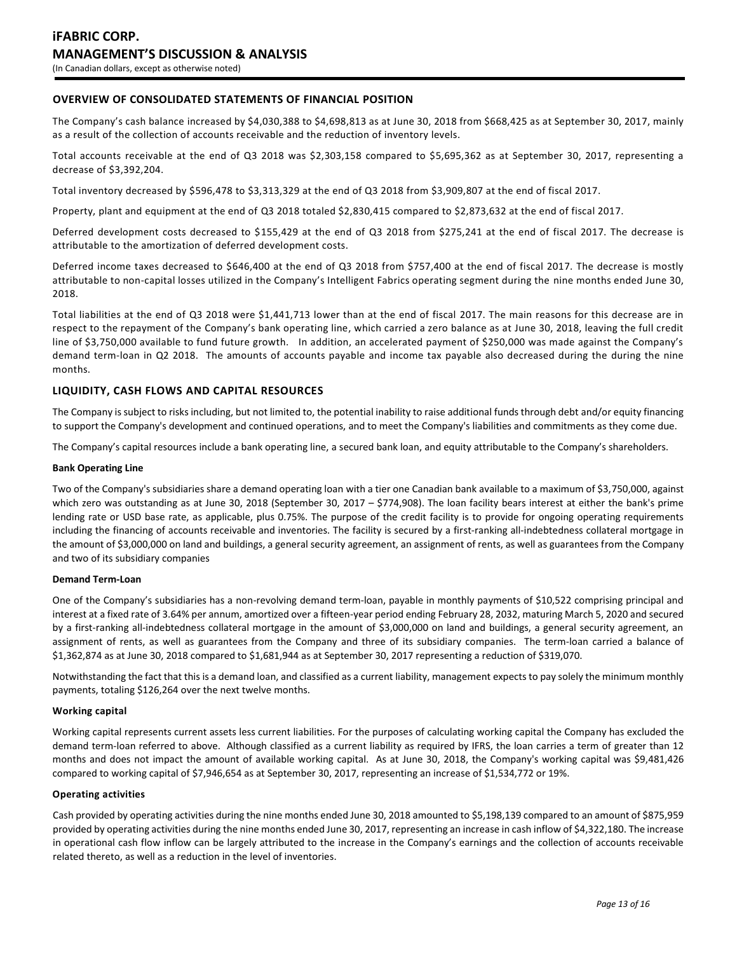### **OVERVIEW OF CONSOLIDATED STATEMENTS OF FINANCIAL POSITION**

The Company's cash balance increased by \$4,030,388 to \$4,698,813 as at June 30, 2018 from \$668,425 as at September 30, 2017, mainly as a result of the collection of accounts receivable and the reduction of inventory levels.

Total accounts receivable at the end of Q3 2018 was \$2,303,158 compared to \$5,695,362 as at September 30, 2017, representing a decrease of \$3,392,204.

Total inventory decreased by \$596,478 to \$3,313,329 at the end of Q3 2018 from \$3,909,807 at the end of fiscal 2017.

Property, plant and equipment at the end of Q3 2018 totaled \$2,830,415 compared to \$2,873,632 at the end of fiscal 2017.

Deferred development costs decreased to \$155,429 at the end of Q3 2018 from \$275,241 at the end of fiscal 2017. The decrease is attributable to the amortization of deferred development costs.

Deferred income taxes decreased to \$646,400 at the end of Q3 2018 from \$757,400 at the end of fiscal 2017. The decrease is mostly attributable to non-capital losses utilized in the Company's Intelligent Fabrics operating segment during the nine months ended June 30, 2018.

Total liabilities at the end of Q3 2018 were \$1,441,713 lower than at the end of fiscal 2017. The main reasons for this decrease are in respect to the repayment of the Company's bank operating line, which carried a zero balance as at June 30, 2018, leaving the full credit line of \$3,750,000 available to fund future growth. In addition, an accelerated payment of \$250,000 was made against the Company's demand term-loan in Q2 2018. The amounts of accounts payable and income tax payable also decreased during the during the nine months.

### **LIQUIDITY, CASH FLOWS AND CAPITAL RESOURCES**

The Company is subject to risks including, but not limited to, the potential inability to raise additional funds through debt and/or equity financing to support the Company's development and continued operations, and to meet the Company's liabilities and commitments as they come due.

The Company's capital resources include a bank operating line, a secured bank loan, and equity attributable to the Company's shareholders.

#### **Bank Operating Line**

Two of the Company's subsidiaries share a demand operating loan with a tier one Canadian bank available to a maximum of \$3,750,000, against which zero was outstanding as at June 30, 2018 (September 30, 2017 – \$774,908). The loan facility bears interest at either the bank's prime lending rate or USD base rate, as applicable, plus 0.75%. The purpose of the credit facility is to provide for ongoing operating requirements including the financing of accounts receivable and inventories. The facility is secured by a first-ranking all-indebtedness collateral mortgage in the amount of \$3,000,000 on land and buildings, a general security agreement, an assignment of rents, as well as guarantees from the Company and two of its subsidiary companies

#### **Demand Term-Loan**

One of the Company's subsidiaries has a non-revolving demand term-loan, payable in monthly payments of \$10,522 comprising principal and interest at a fixed rate of 3.64% per annum, amortized over a fifteen-year period ending February 28, 2032, maturing March 5, 2020 and secured by a first-ranking all-indebtedness collateral mortgage in the amount of \$3,000,000 on land and buildings, a general security agreement, an assignment of rents, as well as guarantees from the Company and three of its subsidiary companies. The term-loan carried a balance of \$1,362,874 as at June 30, 2018 compared to \$1,681,944 as at September 30, 2017 representing a reduction of \$319,070.

Notwithstanding the fact that this is a demand loan, and classified as a current liability, management expects to pay solely the minimum monthly payments, totaling \$126,264 over the next twelve months.

### **Working capital**

Working capital represents current assets less current liabilities. For the purposes of calculating working capital the Company has excluded the demand term-loan referred to above. Although classified as a current liability as required by IFRS, the loan carries a term of greater than 12 months and does not impact the amount of available working capital. As at June 30, 2018, the Company's working capital was \$9,481,426 compared to working capital of \$7,946,654 as at September 30, 2017, representing an increase of \$1,534,772 or 19%.

### **Operating activities**

Cash provided by operating activities during the nine months ended June 30, 2018 amounted to \$5,198,139 compared to an amount of \$875,959 provided by operating activities during the nine months ended June 30, 2017, representing an increase in cash inflow of \$4,322,180. The increase in operational cash flow inflow can be largely attributed to the increase in the Company's earnings and the collection of accounts receivable related thereto, as well as a reduction in the level of inventories.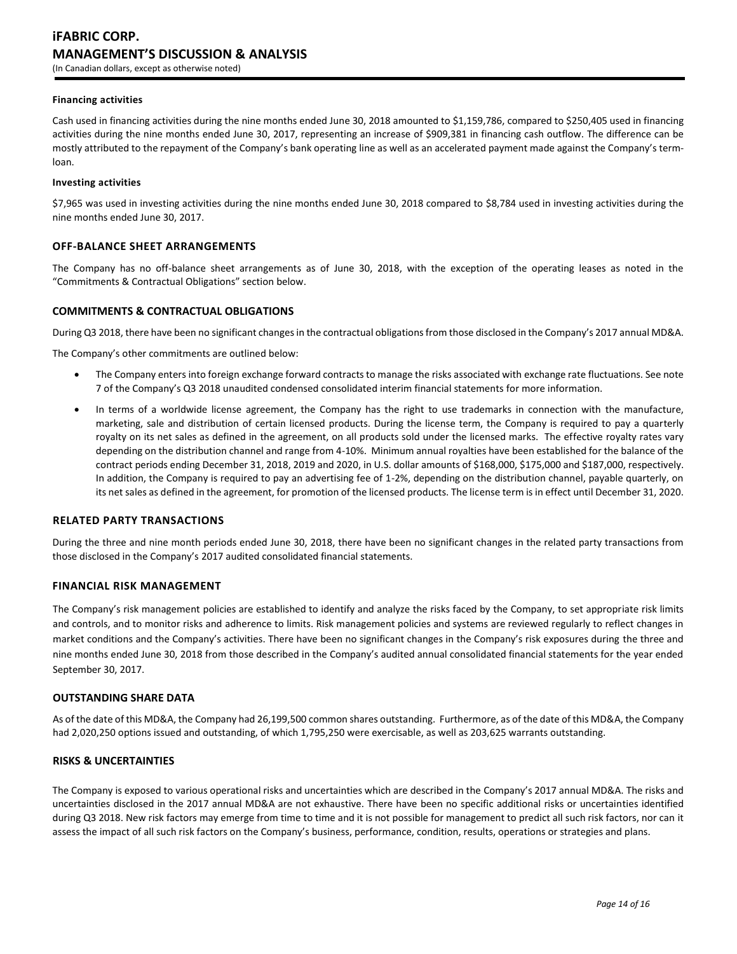### **Financing activities**

Cash used in financing activities during the nine months ended June 30, 2018 amounted to \$1,159,786, compared to \$250,405 used in financing activities during the nine months ended June 30, 2017, representing an increase of \$909,381 in financing cash outflow. The difference can be mostly attributed to the repayment of the Company's bank operating line as well as an accelerated payment made against the Company's termloan.

#### **Investing activities**

\$7,965 was used in investing activities during the nine months ended June 30, 2018 compared to \$8,784 used in investing activities during the nine months ended June 30, 2017.

### **OFF-BALANCE SHEET ARRANGEMENTS**

The Company has no off-balance sheet arrangements as of June 30, 2018, with the exception of the operating leases as noted in the "Commitments & Contractual Obligations" section below.

### **COMMITMENTS & CONTRACTUAL OBLIGATIONS**

During Q3 2018, there have been no significant changes in the contractual obligations from those disclosed in the Company's 2017 annual MD&A.

The Company's other commitments are outlined below:

- The Company enters into foreign exchange forward contracts to manage the risks associated with exchange rate fluctuations. See note 7 of the Company's Q3 2018 unaudited condensed consolidated interim financial statements for more information.
- In terms of a worldwide license agreement, the Company has the right to use trademarks in connection with the manufacture, marketing, sale and distribution of certain licensed products. During the license term, the Company is required to pay a quarterly royalty on its net sales as defined in the agreement, on all products sold under the licensed marks. The effective royalty rates vary depending on the distribution channel and range from 4-10%. Minimum annual royalties have been established for the balance of the contract periods ending December 31, 2018, 2019 and 2020, in U.S. dollar amounts of \$168,000, \$175,000 and \$187,000, respectively. In addition, the Company is required to pay an advertising fee of 1-2%, depending on the distribution channel, payable quarterly, on its net sales as defined in the agreement, for promotion of the licensed products. The license term is in effect until December 31, 2020.

### **RELATED PARTY TRANSACTIONS**

During the three and nine month periods ended June 30, 2018, there have been no significant changes in the related party transactions from those disclosed in the Company's 2017 audited consolidated financial statements.

### **FINANCIAL RISK MANAGEMENT**

The Company's risk management policies are established to identify and analyze the risks faced by the Company, to set appropriate risk limits and controls, and to monitor risks and adherence to limits. Risk management policies and systems are reviewed regularly to reflect changes in market conditions and the Company's activities. There have been no significant changes in the Company's risk exposures during the three and nine months ended June 30, 2018 from those described in the Company's audited annual consolidated financial statements for the year ended September 30, 2017.

#### **OUTSTANDING SHARE DATA**

As of the date of this MD&A, the Company had 26,199,500 common shares outstanding. Furthermore, as of the date of this MD&A, the Company had 2,020,250 options issued and outstanding, of which 1,795,250 were exercisable, as well as 203,625 warrants outstanding.

### **RISKS & UNCERTAINTIES**

The Company is exposed to various operational risks and uncertainties which are described in the Company's 2017 annual MD&A. The risks and uncertainties disclosed in the 2017 annual MD&A are not exhaustive. There have been no specific additional risks or uncertainties identified during Q3 2018. New risk factors may emerge from time to time and it is not possible for management to predict all such risk factors, nor can it assess the impact of all such risk factors on the Company's business, performance, condition, results, operations or strategies and plans.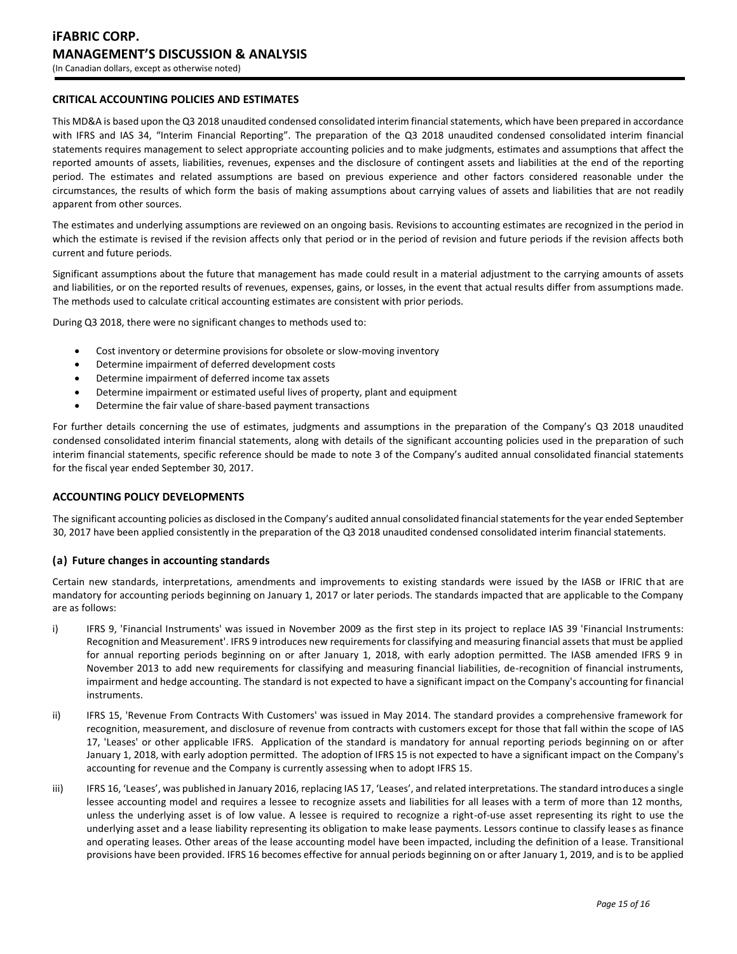### **CRITICAL ACCOUNTING POLICIES AND ESTIMATES**

This MD&A is based upon the Q3 2018 unaudited condensed consolidated interim financial statements, which have been prepared in accordance with IFRS and IAS 34, "Interim Financial Reporting". The preparation of the Q3 2018 unaudited condensed consolidated interim financial statements requires management to select appropriate accounting policies and to make judgments, estimates and assumptions that affect the reported amounts of assets, liabilities, revenues, expenses and the disclosure of contingent assets and liabilities at the end of the reporting period. The estimates and related assumptions are based on previous experience and other factors considered reasonable under the circumstances, the results of which form the basis of making assumptions about carrying values of assets and liabilities that are not readily apparent from other sources.

The estimates and underlying assumptions are reviewed on an ongoing basis. Revisions to accounting estimates are recognized in the period in which the estimate is revised if the revision affects only that period or in the period of revision and future periods if the revision affects both current and future periods.

Significant assumptions about the future that management has made could result in a material adjustment to the carrying amounts of assets and liabilities, or on the reported results of revenues, expenses, gains, or losses, in the event that actual results differ from assumptions made. The methods used to calculate critical accounting estimates are consistent with prior periods.

During Q3 2018, there were no significant changes to methods used to:

- Cost inventory or determine provisions for obsolete or slow-moving inventory
- Determine impairment of deferred development costs
- Determine impairment of deferred income tax assets
- Determine impairment or estimated useful lives of property, plant and equipment
- Determine the fair value of share-based payment transactions

For further details concerning the use of estimates, judgments and assumptions in the preparation of the Company's Q3 2018 unaudited condensed consolidated interim financial statements, along with details of the significant accounting policies used in the preparation of such interim financial statements, specific reference should be made to note 3 of the Company's audited annual consolidated financial statements for the fiscal year ended September 30, 2017.

### **ACCOUNTING POLICY DEVELOPMENTS**

The significant accounting policies as disclosed in the Company's audited annual consolidated financial statements for the year ended September 30, 2017 have been applied consistently in the preparation of the Q3 2018 unaudited condensed consolidated interim financial statements.

### **(a) Future changes in accounting standards**

Certain new standards, interpretations, amendments and improvements to existing standards were issued by the IASB or IFRIC that are mandatory for accounting periods beginning on January 1, 2017 or later periods. The standards impacted that are applicable to the Company are as follows:

- i) IFRS 9, 'Financial Instruments' was issued in November 2009 as the first step in its project to replace IAS 39 'Financial Instruments: Recognition and Measurement'. IFRS 9 introduces new requirements for classifying and measuring financial assets that must be applied for annual reporting periods beginning on or after January 1, 2018, with early adoption permitted. The IASB amended IFRS 9 in November 2013 to add new requirements for classifying and measuring financial liabilities, de-recognition of financial instruments, impairment and hedge accounting. The standard is not expected to have a significant impact on the Company's accounting for financial instruments.
- ii) IFRS 15, 'Revenue From Contracts With Customers' was issued in May 2014. The standard provides a comprehensive framework for recognition, measurement, and disclosure of revenue from contracts with customers except for those that fall within the scope of IAS 17, 'Leases' or other applicable IFRS. Application of the standard is mandatory for annual reporting periods beginning on or after January 1, 2018, with early adoption permitted. The adoption of IFRS 15 is not expected to have a significant impact on the Company's accounting for revenue and the Company is currently assessing when to adopt IFRS 15.
- iii) IFRS 16, 'Leases', was published in January 2016, replacing IAS 17, 'Leases', and related interpretations. The standard introduces a single lessee accounting model and requires a lessee to recognize assets and liabilities for all leases with a term of more than 12 months, unless the underlying asset is of low value. A lessee is required to recognize a right-of-use asset representing its right to use the underlying asset and a lease liability representing its obligation to make lease payments. Lessors continue to classify leases as finance and operating leases. Other areas of the lease accounting model have been impacted, including the definition of a lease. Transitional provisions have been provided. IFRS 16 becomes effective for annual periods beginning on or after January 1, 2019, and is to be applied